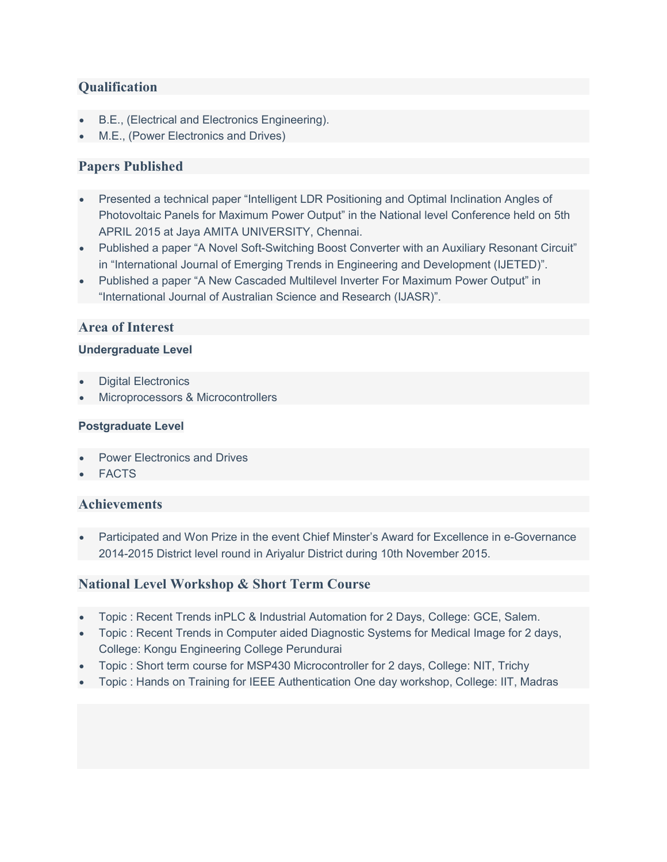## **Qualification**

- B.E., (Electrical and Electronics Engineering).
- M.E., (Power Electronics and Drives)

# Papers Published

- Presented a technical paper "Intelligent LDR Positioning and Optimal Inclination Angles of Photovoltaic Panels for Maximum Power Output" in the National level Conference held on 5th APRIL 2015 at Jaya AMITA UNIVERSITY, Chennai.
- Published a paper "A Novel Soft-Switching Boost Converter with an Auxiliary Resonant Circuit" in "International Journal of Emerging Trends in Engineering and Development (IJETED)".
- Published a paper "A New Cascaded Multilevel Inverter For Maximum Power Output" in "International Journal of Australian Science and Research (IJASR)".

## Area of Interest

#### Undergraduate Level

- Digital Electronics
- Microprocessors & Microcontrollers

#### Postgraduate Level

- Power Electronics and Drives
- FACTS

#### Achievements

 Participated and Won Prize in the event Chief Minster's Award for Excellence in e-Governance 2014-2015 District level round in Ariyalur District during 10th November 2015.

## National Level Workshop & Short Term Course

- Topic : Recent Trends inPLC & Industrial Automation for 2 Days, College: GCE, Salem.
- Topic : Recent Trends in Computer aided Diagnostic Systems for Medical Image for 2 days, College: Kongu Engineering College Perundurai
- Topic : Short term course for MSP430 Microcontroller for 2 days, College: NIT, Trichy
- Topic : Hands on Training for IEEE Authentication One day workshop, College: IIT, Madras